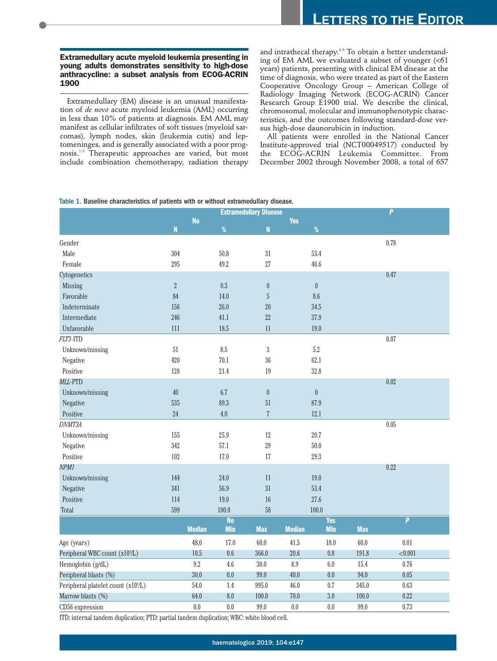## **Extramedullary acute myeloid leukemia presenting in young adults demonstrates sensitivity to high-dose anthracycline: a subset analysis from ECOG-ACRIN 1900**

Extramedullary (EM) disease is an unusual manifestation of *de novo* acute myeloid leukemia (AML) occurring in less than 10% of patients at diagnosis. EM AML may manifest as cellular infiltrates of soft tissues (myeloid sarcomas), lymph nodes, skin (leukemia cutis) and leptomeninges, and is generally associated with a poor prognosis.1-3 Therapeutic approaches are varied, but most include combination chemotherapy, radiation therapy

and intrathecal therapy.<sup>4-6</sup> To obtain a better understanding of EM AML we evaluated a subset of younger (<61 years) patients, presenting with clinical EM disease at the time of diagnosis, who were treated as part of the Eastern Cooperative Oncology Group – American College of Radiology Imaging Network (ECOG-ACRIN) Cancer Research Group E1900 trial. We describe the clinical, chromosomal, molecular and immunophenotypic characteristics, and the outcomes following standard-dose versus high-dose daunorubicin in induction.

All patients were enrolled in the National Cancer Institute-approved trial (NCT00049517) conducted by the ECOG-ACRIN Leukemia Committee. From December 2002 through November 2008, a total of 657

Table 1. Baseline characteristics of patients with or without extramedullary disease.

|                                                 |                    | <b>Extramedullary Disease</b> |                |                  |               |                  |            | $\overline{P}$ |
|-------------------------------------------------|--------------------|-------------------------------|----------------|------------------|---------------|------------------|------------|----------------|
|                                                 |                    | <b>No</b>                     | %              |                  | <b>Yes</b>    | $\%$             |            |                |
|                                                 | $\pmb{\mathsf{N}}$ |                               |                | ${\bf N}$        |               |                  |            |                |
| Gender                                          |                    |                               |                |                  |               |                  |            | 0.78           |
| Male                                            | 304                |                               | 50.8           | $31\,$           |               | 53.4             |            |                |
| Female                                          | 295                |                               | 49.2           | $27\,$           |               | 46.6             |            |                |
| Cytogenetics                                    |                    |                               |                |                  |               |                  |            | 0.47           |
| Missing                                         | $\sqrt{2}$         |                               | 0.3            | $\boldsymbol{0}$ |               | $\boldsymbol{0}$ |            |                |
| Favorable                                       | 84                 |                               | 14.0           | $\sqrt{5}$       |               | 8.6              |            |                |
| Indeterminate                                   | 156                |                               | 26.0           | $20\,$           |               | 34.5             |            |                |
| Intermediate                                    | 246                |                               | 41.1           | 22               |               | 37.9             |            |                |
| Unfavorable                                     | 111                |                               | 18.5           | 11               |               | 19.0             |            |                |
| FLT3-ITD                                        |                    |                               |                |                  |               |                  |            | $0.07\,$       |
| Unknown/missing                                 | 51                 |                               | 8.5            | $\sqrt{3}$       |               | $5.2\,$          |            |                |
| Negative                                        | 420                |                               | 70.1           | 36               |               | 62.1             |            |                |
| Positive                                        | 128                |                               | 21.4           | $19\,$           |               | 32.8             |            |                |
| MLL-PTD                                         |                    |                               |                |                  |               |                  |            | 0.02           |
| Unknown/missing                                 | $40\,$             |                               | 6.7            | $\boldsymbol{0}$ |               | $\pmb{0}$        |            |                |
| Negative                                        | 535                |                               | 89.3           | 51               |               | 87.9             |            |                |
| Positive                                        | 24                 |                               | 4.0            | $\overline{7}$   |               | 12.1             |            |                |
| DNMT3A                                          |                    |                               |                |                  |               |                  |            | $0.05\,$       |
| Unknown/missing                                 | 155                |                               | 25.9           | $12\,$           |               | 20.7             |            |                |
| Negative                                        | 342                |                               | 57.1           | 29               |               | $50.0$           |            |                |
| Positive                                        | 102                |                               | 17.0           | $17\,$           |               | 29.3             |            |                |
| NPM1                                            |                    |                               |                |                  |               |                  |            | 0.22           |
| Unknown/missing                                 | 144                |                               | 24.0           | 11               |               | 19.0             |            |                |
| Negative                                        | 341                |                               | 56.9           | 31               | 53.4          |                  |            |                |
| Positive                                        | 114                |                               | 19.0           | 16               | 27.6          |                  |            |                |
| Total                                           | 599                |                               | 100.0          | 58               | 100.0         |                  |            |                |
|                                                 |                    |                               | N <sub>0</sub> |                  | <b>Yes</b>    |                  |            | $\overline{P}$ |
|                                                 |                    | <b>Median</b>                 | <b>Min</b>     | <b>Max</b>       | <b>Median</b> | <b>Min</b>       | <b>Max</b> |                |
| Age (years)                                     |                    | 48.0                          | 17.0           | 60.0             | 41.5          | 18.0             | 60.0       | $0.01\,$       |
| Peripheral WBC count (x10 <sup>9</sup> /L)      |                    | 10.5                          | 0.6            | 366.0            | 20.6          | $0.8\,$          | 191.8      | < 0.001        |
| Hemoglobin (g/dL)                               |                    | 9.2                           | 4.6            | $30.0\,$         | 8.9           | 6.0              | 15.4       | 0.76           |
| Peripheral blasts (%)                           |                    | 30.0                          | 0.0            | 99.0             | 40.0          | 0.0              | 94.0       | 0.05           |
| Peripheral platelet count (x10 <sup>9</sup> /L) |                    | 54.0                          | 1.4            | 995.0            | 46.0          | $0.7\,$          | 345.0      | 0.63           |
| Marrow blasts (%)                               |                    | 64.0                          | 8.0            | 100.0            | 70.0          | $3.0\,$          | 100.0      | 0.22           |
| CD56 expression                                 |                    | 0.0                           | 0.0            | 99.0             | $0.0\,$       | 0.0              | 99.0       | 0.73           |

ITD: internal tandem duplication; PTD: partial tandem duplication; WBC: white blood cell.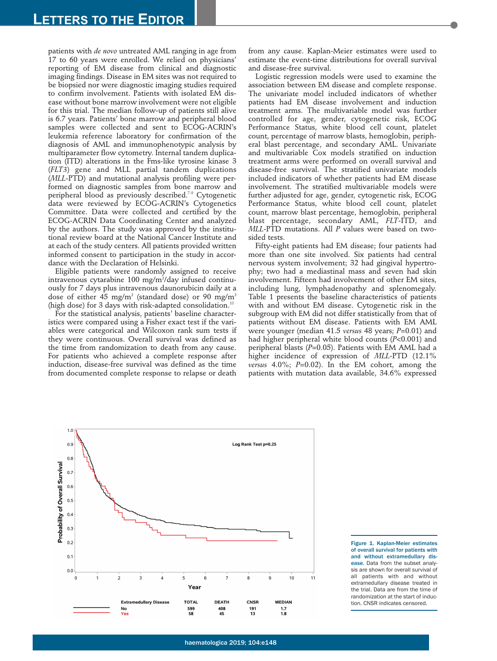patients with *de novo* untreated AML ranging in age from 17 to 60 years were enrolled. We relied on physicians' reporting of EM disease from clinical and diagnostic imaging findings. Disease in EM sites was not required to be biopsied nor were diagnostic imaging studies required to confirm involvement. Patients with isolated EM disease without bone marrow involvement were not eligible for this trial. The median follow-up of patients still alive is 6.7 years. Patients' bone marrow and peripheral blood samples were collected and sent to ECOG-ACRIN's leukemia reference laboratory for confirmation of the diagnosis of AML and immunophenotypic analysis by multiparameter flow cytometry. Internal tandem duplication (ITD) alterations in the Fms-like tyrosine kinase 3 (*FLT3*) gene and MLL partial tandem duplications (*MLL*-PTD) and mutational analysis profiling were performed on diagnostic samples from bone marrow and peripheral blood as previously described.<sup>7.9</sup> Cytogenetic data were reviewed by ECOG-ACRIN's Cytogenetics Committee. Data were collected and certified by the ECOG-ACRIN Data Coordinating Center and analyzed by the authors. The study was approved by the institutional review board at the National Cancer Institute and at each of the study centers. All patients provided written informed consent to participation in the study in accordance with the Declaration of Helsinki.

Eligible patients were randomly assigned to receive intravenous cytarabine 100 mg/m²/day infused continuously for 7 days plus intravenous daunorubicin daily at a dose of either 45 mg/m<sup>2</sup> (standard dose) or 90 mg/m<sup>2</sup> (high dose) for 3 days with risk-adapted consolidation.<sup>10</sup>

For the statistical analysis, patients' baseline characteristics were compared using a Fisher exact test if the variables were categorical and Wilcoxon rank sum tests if they were continuous. Overall survival was defined as the time from randomization to death from any cause. For patients who achieved a complete response after induction, disease-free survival was defined as the time from documented complete response to relapse or death

from any cause. Kaplan-Meier estimates were used to estimate the event-time distributions for overall survival and disease-free survival.

Logistic regression models were used to examine the association between EM disease and complete response. The univariate model included indicators of whether patients had EM disease involvement and induction treatment arms. The multivariable model was further controlled for age, gender, cytogenetic risk, ECOG Performance Status, white blood cell count, platelet count, percentage of marrow blasts, hemoglobin, peripheral blast percentage, and secondary AML. Univariate and multivariable Cox models stratified on induction treatment arms were performed on overall survival and disease-free survival. The stratified univariate models included indicators of whether patients had EM disease involvement. The stratified multivariable models were further adjusted for age, gender, cytogenetic risk, ECOG Performance Status, white blood cell count, platelet count, marrow blast percentage, hemoglobin, peripheral blast percentage, secondary AML, *FLT*-ITD, and *MLL*-PTD mutations. All *P* values were based on twosided tests.

Fifty-eight patients had EM disease; four patients had more than one site involved. Six patients had central nervous system involvement; 32 had gingival hypertrophy; two had a mediastinal mass and seven had skin involvement. Fifteen had involvement of other EM sites, including lung, lymphadenopathy and splenomegaly. Table 1 presents the baseline characteristics of patients with and without EM disease. Cytogenetic risk in the subgroup with EM did not differ statistically from that of patients without EM disease. Patients with EM AML were younger (median 41.5 *versus* 48 years; *P*=0.01) and had higher peripheral white blood counts (*P*<0.001) and peripheral blasts (*P*=0.05). Patients with EM AML had a higher incidence of expression of *MLL*-PTD (12.1% *versus* 4.0%; *P*=0.02). In the EM cohort, among the patients with mutation data available, 34.6% expressed



Figure 1. Kaplan-Meier estimates of overall survival for patients with and without extramedullary disease. Data from the subset analysis are shown for overall survival of all patients with and without extramedullary disease treated in the trial. Data are from the time of randomization at the start of induction. CNSR indicates censored.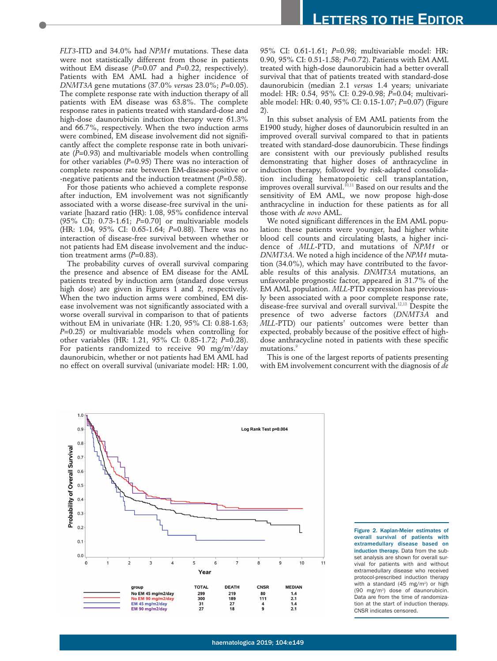*FLT3*-ITD and 34.0% had *NPM1* mutations. These data were not statistically different from those in patients without EM disease (*P*=0.07 and *P*=0.22, respectively). Patients with EM AML had a higher incidence of *DNMT3A* gene mutations (37.0% *versus* 23.0%; *P*=0.05). The complete response rate with induction therapy of all patients with EM disease was 63.8%. The complete response rates in patients treated with standard-dose and high-dose daunorubicin induction therapy were 61.3% and 66.7%, respectively. When the two induction arms were combined, EM disease involvement did not significantly affect the complete response rate in both univariate (*P*=0.93) and multivariable models when controlling for other variables (*P*=0.95) There was no interaction of complete response rate between EM-disease-positive or -negative patients and the induction treatment (*P*=0.58).

For those patients who achieved a complete response after induction, EM involvement was not significantly associated with a worse disease-free survival in the univariate [hazard ratio (HR): 1.08, 95% confidence interval (95% CI): 0.73-1.61; *P*=0.70] or multivariable models (HR: 1.04, 95% CI: 0.65-1.64; *P*=0.88). There was no interaction of disease-free survival between whether or not patients had EM disease involvement and the induction treatment arms (P=0.83).

The probability curves of overall survival comparing the presence and absence of EM disease for the AML patients treated by induction arm (standard dose versus high dose) are given in Figures 1 and 2, respectively. When the two induction arms were combined, EM disease involvement was not significantly associated with a worse overall survival in comparison to that of patients without EM in univariate (HR: 1.20, 95% CI: 0.88-1.63; *P*=0.25) or multivariable models when controlling for other variables (HR: 1.21, 95% CI: 0.85-1.72; *P*=0.28). For patients randomized to receive 90 mg/m²/day daunorubicin, whether or not patients had EM AML had no effect on overall survival (univariate model: HR: 1.00, 95% CI: 0.61-1.61; *P*=0.98; multivariable model: HR: 0.90, 95% CI: 0.51-1.58; *P*=0.72). Patients with EM AML treated with high-dose daunorubicin had a better overall survival that that of patients treated with standard-dose daunorubicin (median 2.1 *versus* 1.4 years; univariate model: HR: 0.54, 95% CI: 0.29-0.98; *P*=0.04; multivariable model: HR: 0.40, 95% CI: 0.15-1.07; *P*=0.07) (Figure 2).

In this subset analysis of EM AML patients from the E1900 study, higher doses of daunorubicin resulted in an improved overall survival compared to that in patients treated with standard-dose daunorubicin. These findings are consistent with our previously published results demonstrating that higher doses of anthracycline in induction therapy, followed by risk-adapted consolidation including hematopoietic cell transplantation, improves overall survival.<sup>10,11</sup> Based on our results and the sensitivity of EM AML, we now propose high-dose anthracycline in induction for these patients as for all those with *de novo* AML.

We noted significant differences in the EM AML population: these patients were younger, had higher white blood cell counts and circulating blasts, a higher incidence of *MLL*-PTD, and mutations of *NPM1* or *DNMT3A*. We noted a high incidence of the *NPM1* mutation (34.0%), which may have contributed to the favorable results of this analysis. *DNMT3A* mutations, an unfavorable prognostic factor, appeared in 31.7% of the EM AML population. *MLL*-PTD expression has previously been associated with a poor complete response rate, disease-free survival and overall survival.<sup>12,13</sup> Despite the presence of two adverse factors (*DNMT3A* and *MLL*-PTD) our patients' outcomes were better than expected, probably because of the positive effect of highdose anthracycline noted in patients with these specific mutations.<sup>9</sup>

This is one of the largest reports of patients presenting with EM involvement concurrent with the diagnosis of *de*



Figure 2. Kaplan-Meier estimates of overall survival of patients with extramedullary disease based on induction therapy. Data from the subset analysis are shown for overall survival for patients with and without extramedullary disease who received protocol-prescribed induction therapy with a standard  $(45 \text{ mg/m}^2)$  or high (90 mg/m2 ) dose of daunorubicin. Data are from the time of randomization at the start of induction therapy. CNSR indicates censored.